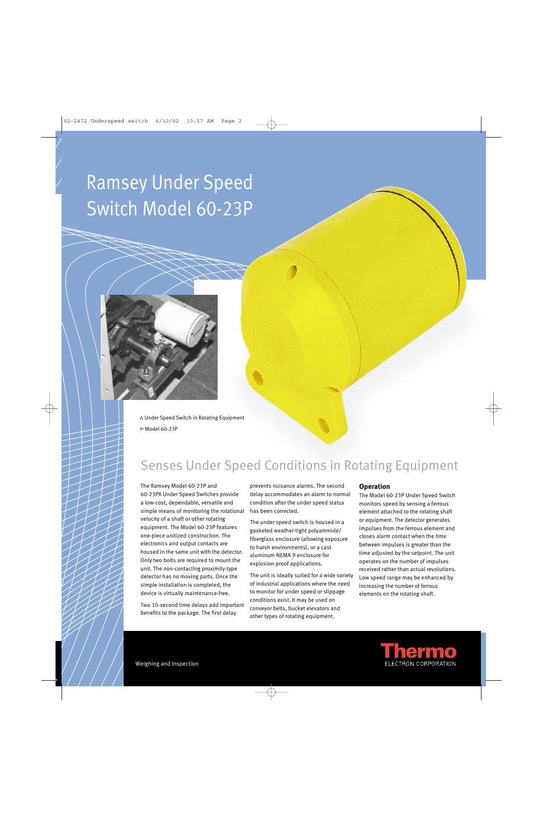# Ramsey Under Speed Switch Model 60-23P



<sup>∆</sup>Under Speed Switch in Rotating Equipment ∆ Model 60-23P

### Senses Under Speed Conditions in Rotating Equipment

The Ramsey Model 60-23P and 60-23PX Under Speed Switches provide a low-cost, dependable, versatile and simple means of monitoring the rotational velocity of a shaft or other rotating equipment. The Model 60-23P features one-piece unitized construction. The electronics and output contacts are housed in the same unit with the detector. Only two bolts are required to mount the unit. The non-contacting proximity-type detector has no moving parts. Once the simple installation is completed, the device is virtually maintenance-free.

Two 10-second time delays add important benefits to the package. The first delay

prevents nuisance alarms. The second delay accommodates an alarm to normal condition after the under speed status has been corrected.

The under speed switch is housed in a gasketed weather-tight polyammide/ fiberglass enclosure (allowing exposure to harsh environments), or a cast aluminum NEMA 9 enclosure for explosion-proof applications.

The unit is ideally suited for a wide variety of industrial applications where the need to monitor for under speed or slippage conditions exist. It may be used on conveyor belts, bucket elevators and other types of rotating equipment.

#### **Operation**

The Model 60-23P Under Speed Switch monitors speed by sensing a ferrous element attached to the rotating shaft or equipment. The detector generates impulses from the ferrous element and closes alarm contact when the time between impulses is greater than the time adjusted by the setpoint. The unit operates on the number of impulses received rather than actual revolutions. Low speed range may be enhanced by increasing the number of ferrous elements on the rotating shaft.